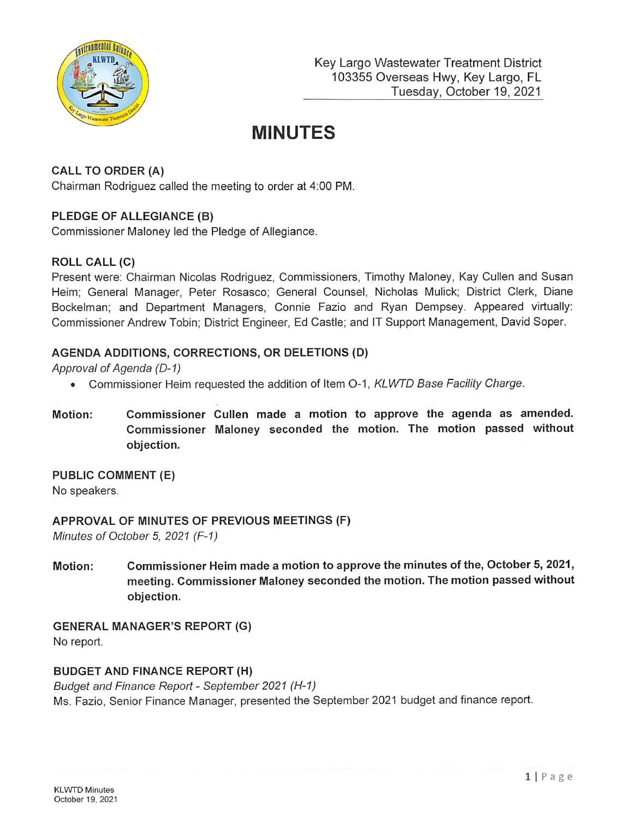

# MINUTES

# CALL TO ORDER (A)

Chairman Rodriguez called the meeting to order at 4:00 PM.

## PLEDGE OF ALLEGIANCE (B)

Commissioner Maloney led the Pledge of Allegiance.

## ROLL CALL (C)

Present were: Chairman Nicolas Rodriguez, Commissioners, Timothy Maloney, Kay Cullen and Susan Helm; General Manager, Peter Rosasco; General Counsel, Nicholas Mulick; District Clerk, Diane Bockelman; and Department Managers, Connie Fazio and Ryan Dempsey. Appeared virtually: Commissioner Andrew Tobin; District Engineer, Ed Castle; and IT Support Management, David Soper.

#### AGENDA ADDITIONS, CORRECTIONS, OR DELETIONS (D)

Approval of Agenda (D-1)

- Commissioner Heim requested the addition of Item O-1, KLWTD Base Facility Charge.
- Motion: Commissioner Cullen made a motion to approve the agenda as amended. Commissioner Maloney seconded the motion. The motion passed without objection.

PUBLIC COMMENT (E) No speakers.

APPROVAL OF MINUTES OF PREVIOUS MEETINGS (F) Minutes of October 5, 2021 ( $F-1$ )

Motion: Commissioner Heim made a motion to approve the minutes of the, October 5, 2021, meeting. Commissioner Maloney seconded the motion. The motion passed without objection.

GENERAL MANAGER'S REPORT (G) No report.

#### BUDGET AND FINANCE REPORT (H)

Budget and Finance Report - September 2021 (H-1) Ms. Fazio, Senior Finance Manager, presented the September 2021 budget and finance report.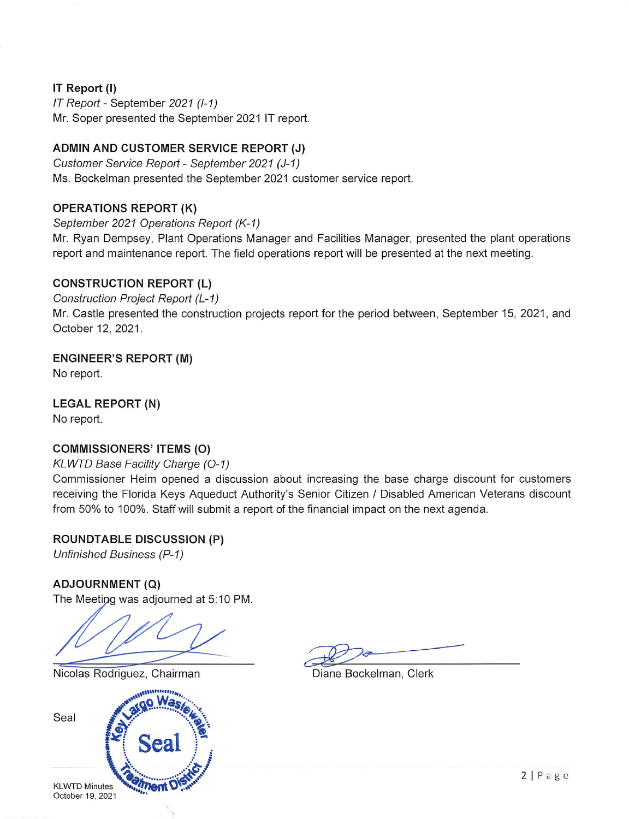## IT Report {!)

IT Report - September 2021 (1-1) Mr. Soper presented the September 2021 IT report.

# ADMIN AND CUSTOMER SERVICE REPORT (J)

Customer Service Report - September 2021 (J-1) Ms. Bockelman presented the September 2021 customer service report.

## OPERATIONS REPORT (K)

September 2021 Operations Report (K-1)

Mr. Ryan Dempsey, Plant Operations Manager and Facilities Manager, presented the plant operations report and maintenance report. The field operations report will be presented at the next meeting.

## CONSTRUCTION REPORT (L)

Construction Project Report (L-1) Mr. Castle presented the construction projects report for the period between, September 15, 2021, and October 12, 2021.

ENGINEER'S REPORT (M)

No report.

LEGAL REPORT (N)

No report.

## COMMISSIONERS' ITEMS (O)

#### KLWTD Base Facility Charge (0-1)

Commissioner Heim opened a discussion about increasing the base charge discount for customers receiving the Florida Keys Aqueduct Authority's Senior Citizen / Disabled American Veterans discount from 50% to 100%. Staff will submit a report of the financial impact on the next agenda.

ROUNDTABLE DISCUSSION (P) Unfinished Business (P-1)

## ADJOURNMENT (Q)

The Meeting was adjourned at 5:10 PM.

Nicolas Rodriguez, Chairman Diane Bockelman, Clerk